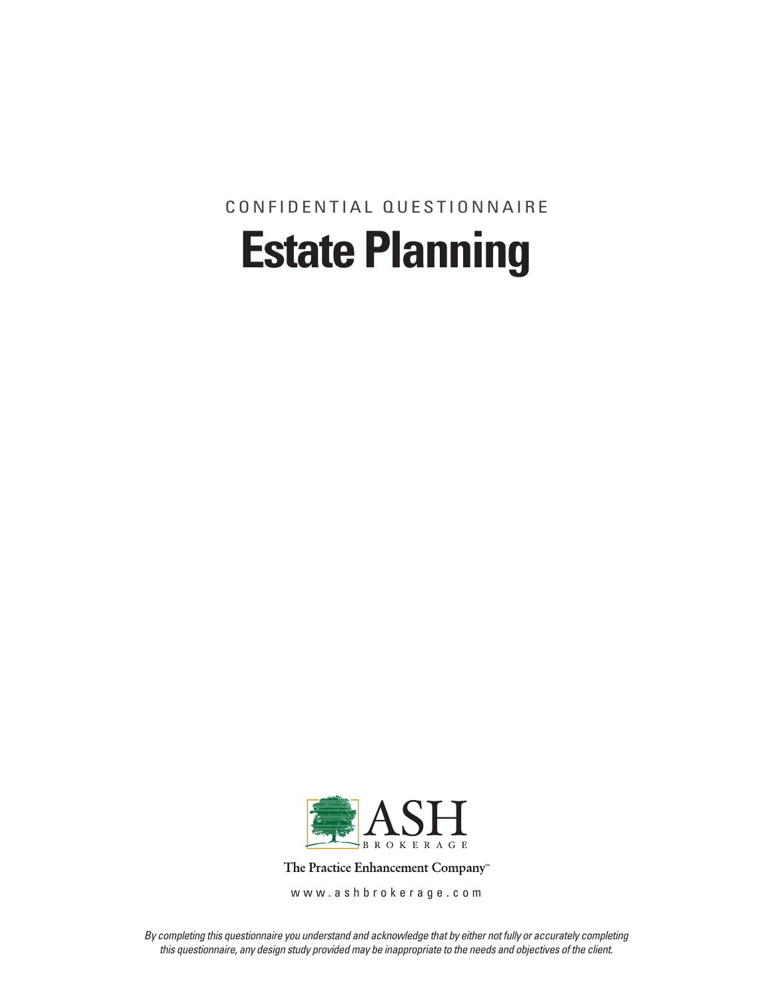Confidential Questionnaire

# **Estate Planning**



The Practice Enhancement Company<sup>®</sup>

www.ashbrokerage.com

*By completing this questionnaire you understand and acknowledge that by either not fully or accurately completing this questionnaire, any design study provided may be inappropriate to the needs and objectives of the client.*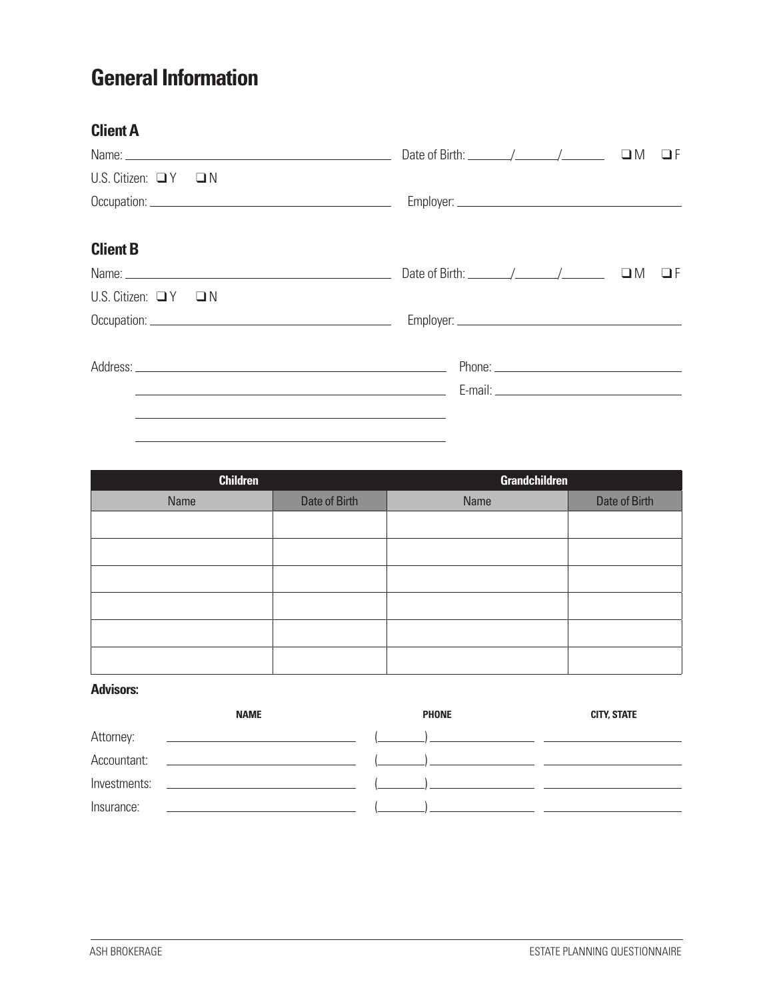## **General Information**

| <b>Client A</b>                 |                                                                                                                      |
|---------------------------------|----------------------------------------------------------------------------------------------------------------------|
|                                 | Date of Birth: $\angle$ / $\angle$ / $\Box$ $\Box$ F                                                                 |
| U.S. Citizen: $\Box Y$ $\Box N$ |                                                                                                                      |
|                                 |                                                                                                                      |
| <b>Client B</b>                 |                                                                                                                      |
|                                 | Date of Birth: $\angle$ / $\angle$ / $\Box$ M<br>$\Box F$                                                            |
| U.S. Citizen: $\Box Y$ $\Box N$ |                                                                                                                      |
|                                 |                                                                                                                      |
|                                 |                                                                                                                      |
|                                 | <u> 1989 - Johann Stein, marwolaethau a bhann an t-Amhair ann an t-Amhair an t-Amhair an t-Amhair an t-Amhair an</u> |
|                                 |                                                                                                                      |

| <b>Children</b> |               | <b>Grandchildren</b> |               |  |
|-----------------|---------------|----------------------|---------------|--|
| Name            | Date of Birth | Name                 | Date of Birth |  |
|                 |               |                      |               |  |
|                 |               |                      |               |  |
|                 |               |                      |               |  |
|                 |               |                      |               |  |
|                 |               |                      |               |  |
|                 |               |                      |               |  |

#### **Advisors:**

|              | <b>NAME</b>                                                                                               | <b>PHONE</b> | <b>CITY, STATE</b> |
|--------------|-----------------------------------------------------------------------------------------------------------|--------------|--------------------|
| Attorney:    | the property of the control of the control of the control of the control of                               |              |                    |
| Accountant:  | <u> 1989 - Johann Stein, markin sammen fyrir og stofning og fyrir senere og stofning og stofning og s</u> |              |                    |
| Investments: | <u> 1980 - Jan Stein Berlin, mars and de Brasil</u>                                                       |              |                    |
| Insurance:   |                                                                                                           |              |                    |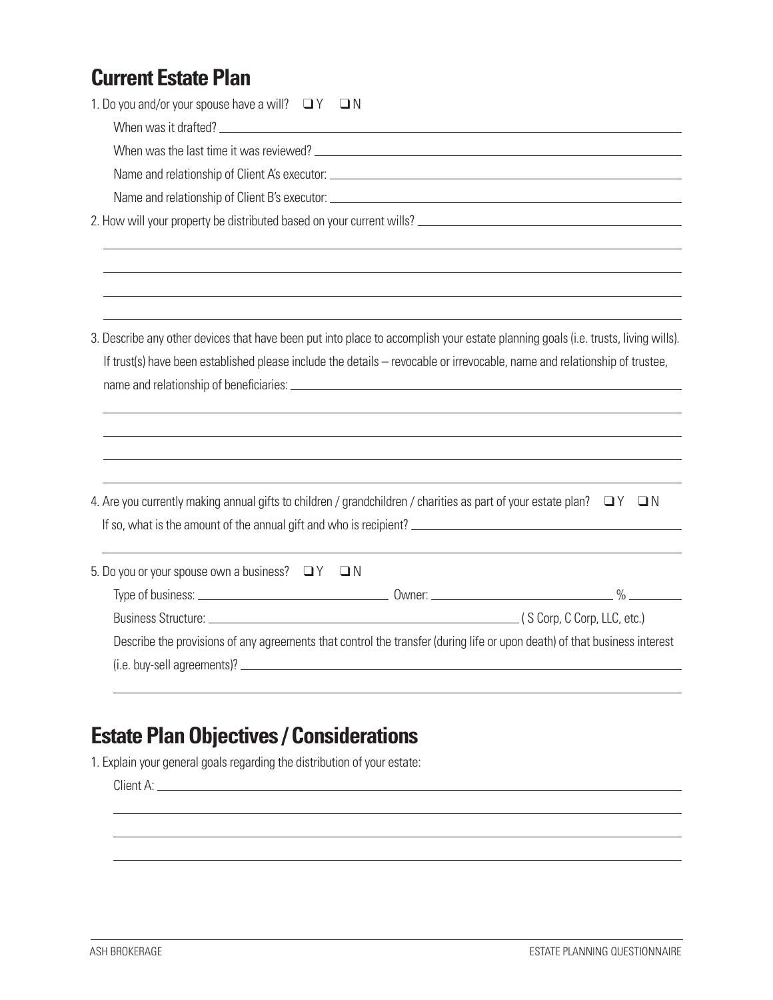#### **Current Estate Plan**

| 1. Do you and/or your spouse have a will? $\Box Y$ $\Box N$                                                                       |
|-----------------------------------------------------------------------------------------------------------------------------------|
|                                                                                                                                   |
|                                                                                                                                   |
| Name and relationship of Client A's executor: ___________________________________                                                 |
|                                                                                                                                   |
|                                                                                                                                   |
|                                                                                                                                   |
| 3. Describe any other devices that have been put into place to accomplish your estate planning goals (i.e. trusts, living wills). |
| If trust(s) have been established please include the details - revocable or irrevocable, name and relationship of trustee,        |
|                                                                                                                                   |
|                                                                                                                                   |
|                                                                                                                                   |
|                                                                                                                                   |
| 4. Are you currently making annual gifts to children / grandchildren / charities as part of your estate plan? $\Box Y \Box N$     |
|                                                                                                                                   |
| 5. Do you or your spouse own a business? $\Box Y$ $\Box N$                                                                        |
|                                                                                                                                   |
|                                                                                                                                   |
| Describe the provisions of any agreements that control the transfer (during life or upon death) of that business interest         |
|                                                                                                                                   |
|                                                                                                                                   |
|                                                                                                                                   |

# **Estate Plan Objectives / Considerations**

1. Explain your general goals regarding the distribution of your estate:

Client A: \_\_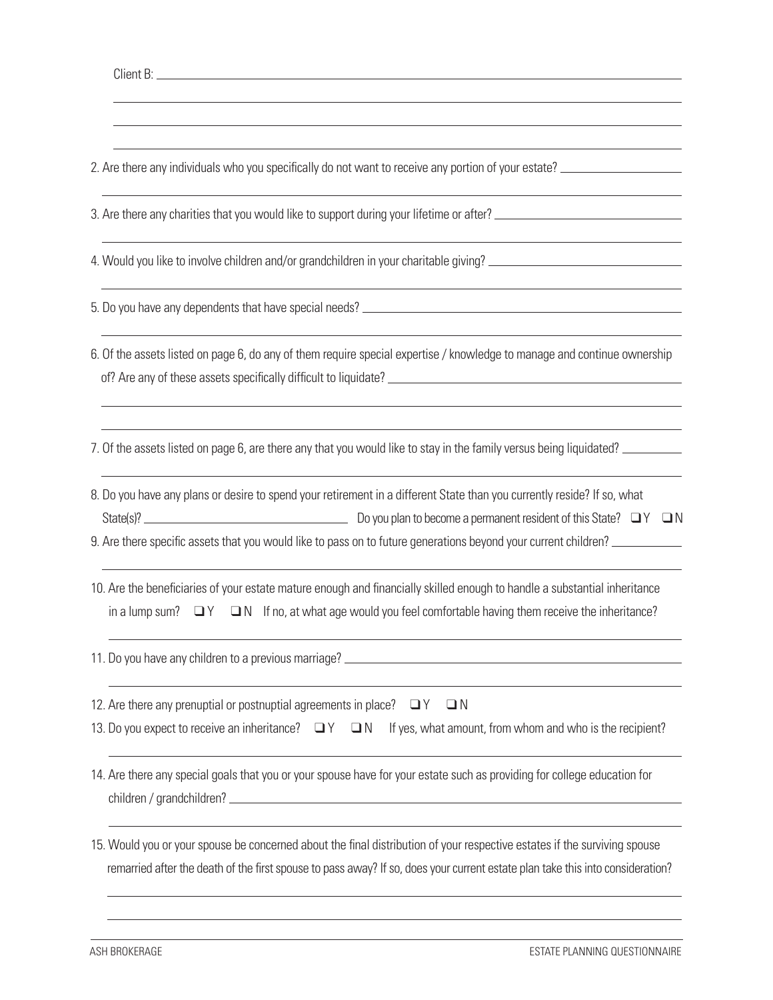| Client <sup>1</sup> |  |
|---------------------|--|
|                     |  |

2. Are there any individuals who you specifically do not want to receive any portion of your estate?

3. Are there any charities that you would like to support during your lifetime or after?

4. Would you like to involve children and/or grandchildren in your charitable giving?

5. Do you have any dependents that have special needs?

6. Of the assets listed on page 6, do any of them require special expertise / knowledge to manage and continue ownership of? Are any of these assets specifically difficult to liquidate?

7. Of the assets listed on page 6, are there any that you would like to stay in the family versus being liquidated?

8. Do you have any plans or desire to spend your retirement in a different State than you currently reside? If so, what State(s)? Do you plan to become a permanent resident of this State? q Y qN

9. Are there specific assets that you would like to pass on to future generations beyond your current children?

10. Are the beneficiaries of your estate mature enough and financially skilled enough to handle a substantial inheritance in a lump sum?  $\Box Y$   $\Box N$  If no, at what age would you feel comfortable having them receive the inheritance?

11. Do you have any children to a previous marriage?

12. Are there any prenuptial or postnuptial agreements in place?  $\Box Y$   $\Box N$ 

|  |  |  | 13. Do you expect to receive an inheritance? $\Box Y \Box N$ If yes, what amount, from whom and who is the recipient? |
|--|--|--|-----------------------------------------------------------------------------------------------------------------------|
|--|--|--|-----------------------------------------------------------------------------------------------------------------------|

14. Are there any special goals that you or your spouse have for your estate such as providing for college education for children / grandchildren?

15. Would you or your spouse be concerned about the final distribution of your respective estates if the surviving spouse remarried after the death of the first spouse to pass away? If so, does your current estate plan take this into consideration?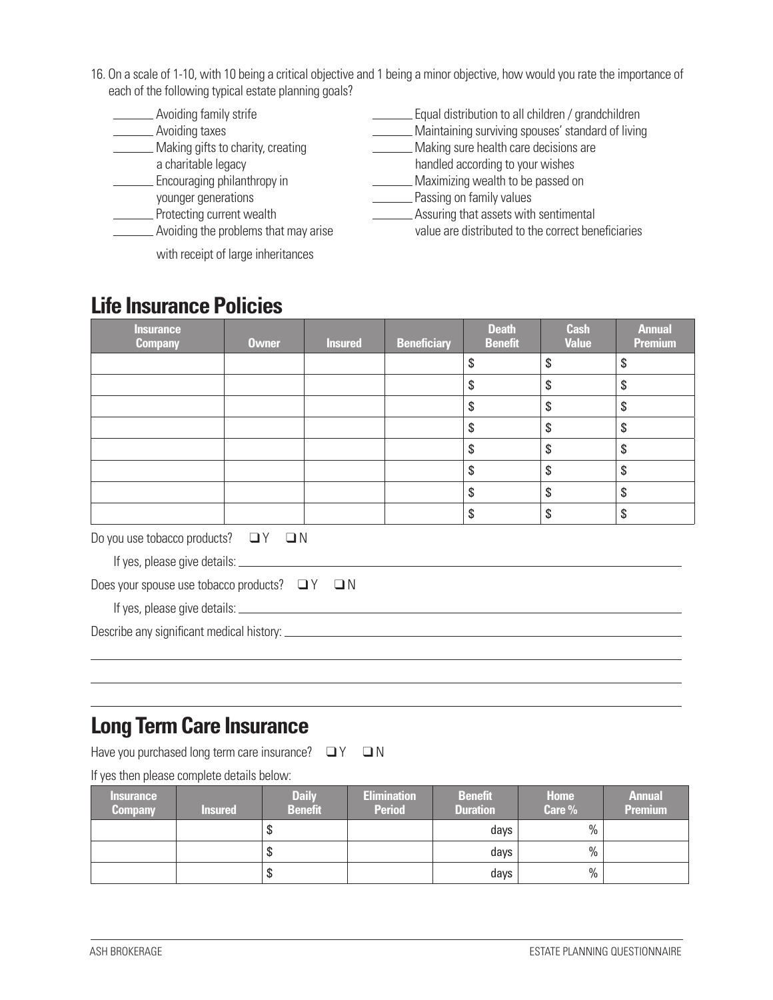- 16. On a scale of 1-10, with 10 being a critical objective and 1 being a minor objective, how would you rate the importance of each of the following typical estate planning goals?
	- Avoiding family strife Equal distribution to all children / grandchildren
	-
	- Making gifts to charity, creating Making sure health care decisions are
	-
	- **Encouraging philanthropy in** Maximizing wealth to be passed on
	-
	-
	- Avoiding the problems that may arise value are distributed to the correct beneficiaries
	- Avoiding taxes Maintaining surviving spouses' standard of living

- a charitable legacy handled according to your wishes
	-
- younger generations entity values because younger generations because the control of the Passing on family values<br>Assuring that assets with the Protecting current wealth
	- **Produce Assuring that assets with sentimental**
	- with receipt of large inheritances

### **Life Insurance Policies**

| <b>Insurance</b><br><b>Company</b>           | <b>Owner</b> | <b>Insured</b> | <b>Beneficiary</b> | <b>Death</b><br><b>Benefit</b> | <b>Cash</b><br><b>Value</b> | <b>Annual</b><br><b>Premium</b> |
|----------------------------------------------|--------------|----------------|--------------------|--------------------------------|-----------------------------|---------------------------------|
|                                              |              |                |                    | \$                             | \$                          | \$                              |
|                                              |              |                |                    | \$                             | \$                          | \$                              |
|                                              |              |                |                    | \$                             | \$                          | $\boldsymbol{\mathsf{S}}$       |
|                                              |              |                |                    | \$                             | \$                          | \$                              |
|                                              |              |                |                    | \$                             | \$                          | \$                              |
|                                              |              |                |                    | \$                             | \$                          | \$                              |
|                                              |              |                |                    | \$                             | \$                          | \$                              |
|                                              |              |                |                    | \$                             | \$                          | \$                              |
| Do you use tobacco products? $\Box Y \Box N$ |              |                |                    |                                |                             |                                 |

If yes, please give details:

|  |  | Does your spouse use tobacco products? $\Box Y$ $\Box N$ |  |
|--|--|----------------------------------------------------------|--|
|  |  |                                                          |  |

If yes, please give details:

Describe any significant medical history:

#### **Long Term Care Insurance**

Have you purchased long term care insurance?  $\Box Y \Box N$ 

If yes then please complete details below:

| <b>Insurance</b><br><b>Company</b> | <b>Insured</b> | <b>Daily</b><br><b>Benefit</b> | <b>Elimination</b><br><b>Period</b> | <b>Benefit</b><br><b>Duration</b> | <b>Home</b><br>Care % | <b>Annual</b><br><b>Premium</b> |
|------------------------------------|----------------|--------------------------------|-------------------------------------|-----------------------------------|-----------------------|---------------------------------|
|                                    |                | S                              |                                     | days                              | $\%$                  |                                 |
|                                    |                | \$                             |                                     | days                              | $\%$                  |                                 |
|                                    |                | S                              |                                     | days                              | $\%$                  |                                 |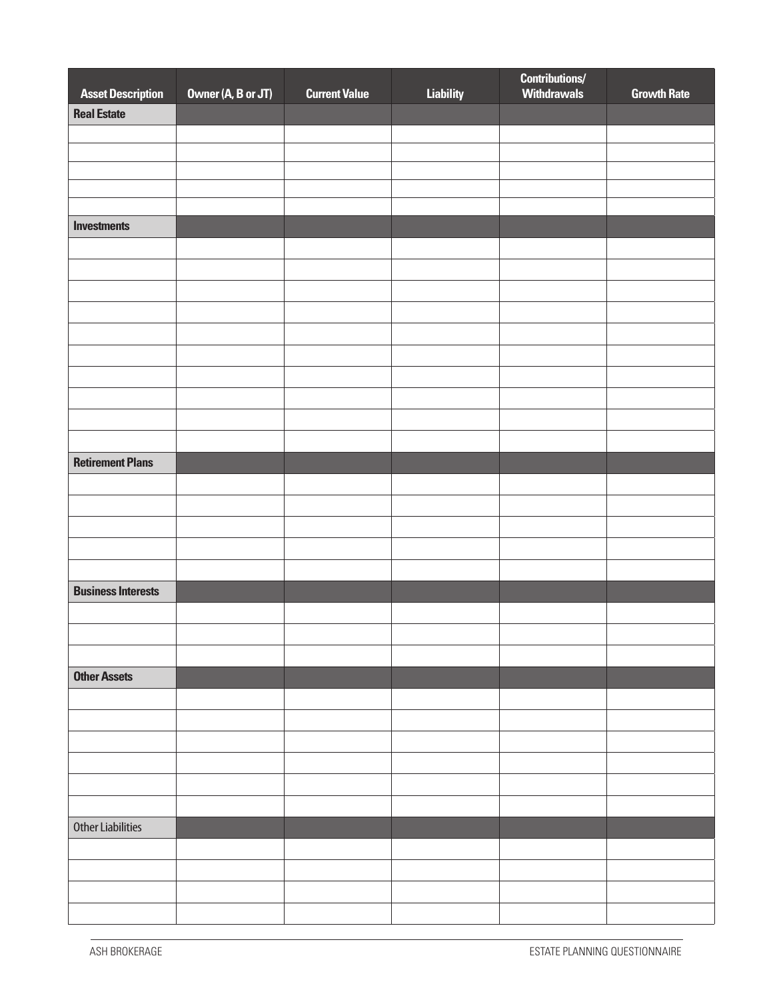|                                                |                    |                      |                  | <b>Contributions/</b><br>Withdrawals |                    |
|------------------------------------------------|--------------------|----------------------|------------------|--------------------------------------|--------------------|
| <b>Asset Description</b><br><b>Real Estate</b> | Owner (A, B or JT) | <b>Current Value</b> | <b>Liability</b> |                                      | <b>Growth Rate</b> |
|                                                |                    |                      |                  |                                      |                    |
|                                                |                    |                      |                  |                                      |                    |
|                                                |                    |                      |                  |                                      |                    |
|                                                |                    |                      |                  |                                      |                    |
|                                                |                    |                      |                  |                                      |                    |
| <b>Investments</b>                             |                    |                      |                  |                                      |                    |
|                                                |                    |                      |                  |                                      |                    |
|                                                |                    |                      |                  |                                      |                    |
|                                                |                    |                      |                  |                                      |                    |
|                                                |                    |                      |                  |                                      |                    |
|                                                |                    |                      |                  |                                      |                    |
|                                                |                    |                      |                  |                                      |                    |
|                                                |                    |                      |                  |                                      |                    |
|                                                |                    |                      |                  |                                      |                    |
|                                                |                    |                      |                  |                                      |                    |
|                                                |                    |                      |                  |                                      |                    |
| <b>Retirement Plans</b>                        |                    |                      |                  |                                      |                    |
|                                                |                    |                      |                  |                                      |                    |
|                                                |                    |                      |                  |                                      |                    |
|                                                |                    |                      |                  |                                      |                    |
|                                                |                    |                      |                  |                                      |                    |
|                                                |                    |                      |                  |                                      |                    |
| <b>Business Interests</b>                      |                    |                      |                  |                                      |                    |
|                                                |                    |                      |                  |                                      |                    |
|                                                |                    |                      |                  |                                      |                    |
|                                                |                    |                      |                  |                                      |                    |
| <b>Other Assets</b>                            |                    |                      |                  |                                      |                    |
|                                                |                    |                      |                  |                                      |                    |
|                                                |                    |                      |                  |                                      |                    |
|                                                |                    |                      |                  |                                      |                    |
|                                                |                    |                      |                  |                                      |                    |
|                                                |                    |                      |                  |                                      |                    |
|                                                |                    |                      |                  |                                      |                    |
| <b>Other Liabilities</b>                       |                    |                      |                  |                                      |                    |
|                                                |                    |                      |                  |                                      |                    |
|                                                |                    |                      |                  |                                      |                    |
|                                                |                    |                      |                  |                                      |                    |
|                                                |                    |                      |                  |                                      |                    |